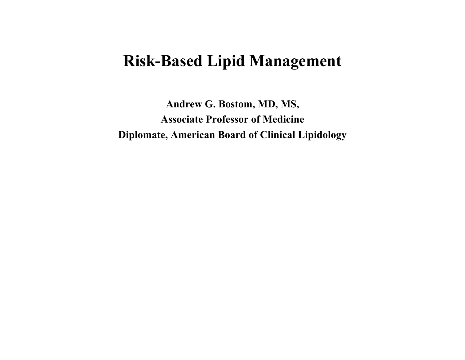# **Risk-Based Lipid Management**

**Andrew G. Bostom, MD, MS, Associate Professor of Medicine Diplomate, American Board of Clinical Lipidology**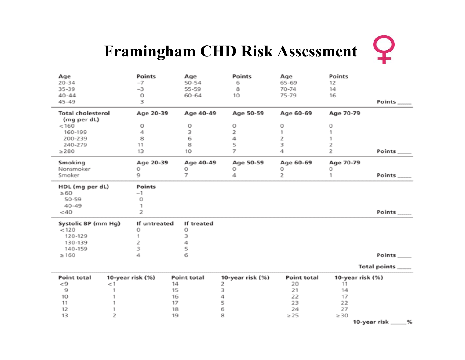# **Framingham CHD Risk Assessment**

| Age                      |     | Points           | Age         | Points           | Age         | Points           |                   |
|--------------------------|-----|------------------|-------------|------------------|-------------|------------------|-------------------|
| 20-34                    |     | $-7$             | 50-54       | 6                | 65-69       | 12               |                   |
| 35-39                    |     | $-3$             | 55-59       | 8                | 70-74       | 14               |                   |
| $40 - 44$<br>45-49       |     | 0<br>3           | 60-64       | 10               | 75-79       | 16               | Points            |
|                          |     |                  |             |                  |             |                  |                   |
| <b>Total cholesterol</b> |     | Age 20-39        | Age 40-49   | Age 50-59        | Age 60-69   | Age 70-79        |                   |
| (mg per dL)              |     |                  |             |                  |             |                  |                   |
| < 160                    |     | 0                | 0           | 0                | 0           | 0                |                   |
| 160-199                  |     | 4                | 3           | 2                | 1           |                  |                   |
| 200-239                  |     | 8                | 6           | 4                | 2           |                  |                   |
| 240-279                  |     | 11               | 8           | 5                | 3           | 2                |                   |
| >280                     |     | 13               | 10          | 7                | 4           | 2                | Points            |
| Smoking                  |     | Age 20-39        | Age 40-49   | Age 50-59        | Age 60-69   | Age 70-79        |                   |
| Nonsmoker                |     | о                | о           | 0                | 0           | 0                |                   |
| Smoker                   |     | 9                | 7           | 4                | 2           | 1                | Points            |
| HDL (mg per dL)          |     | Points           |             |                  |             |                  |                   |
| >60                      |     | $-1$             |             |                  |             |                  |                   |
| 50-59                    |     | 0                |             |                  |             |                  |                   |
| $40 - 49$                |     | 1                |             |                  |             |                  |                   |
| $<$ 40                   |     | 2                |             |                  |             |                  | Points            |
| Systolic BP (mm Hg)      |     | If untreated     | If treated  |                  |             |                  |                   |
| < 120                    |     | 0                | 0           |                  |             |                  |                   |
| 120-129                  |     | 1                | 3           |                  |             |                  |                   |
| 130-139                  |     | 2                | 4           |                  |             |                  |                   |
| 140-159                  |     | 3                | 5           |                  |             |                  |                   |
| >160                     |     | 4                | 6           |                  |             |                  | Points            |
|                          |     |                  |             |                  |             |                  | Total points      |
| Point total              |     | 10-year risk (%) | Point total | 10-year risk (%) | Point total | 10-year risk (%) |                   |
| $\lt$ 9                  | < 1 |                  | 14          | 2                | 20          | 11               |                   |
| 9                        |     |                  | 15          | 3                | 21          | 14               |                   |
| 10                       |     |                  | 16          | 4                | 22          | 17               |                   |
| 11                       |     |                  | 17          | 5                | 23          | 22               |                   |
| 12                       |     |                  | 18          | 6                | 24          | 27               |                   |
| 13                       | 2   |                  | 19          | 8                | $\geq$ 25   | $\geq$ 30        |                   |
|                          |     |                  |             |                  |             |                  | 10-year risk<br>% |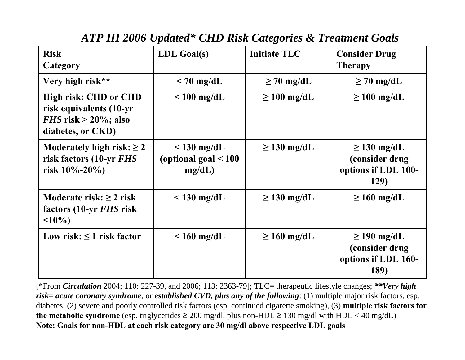| <b>Risk</b><br>Category                                                                                       | <b>LDL</b> Goal(s)                                | <b>Initiate TLC</b> | <b>Consider Drug</b><br><b>Therapy</b>                             |
|---------------------------------------------------------------------------------------------------------------|---------------------------------------------------|---------------------|--------------------------------------------------------------------|
| Very high risk**                                                                                              | $< 70$ mg/dL                                      | $\geq 70$ mg/dL     | $\geq 70$ mg/dL                                                    |
| <b>High risk: CHD or CHD</b><br>risk equivalents (10-yr<br><i>FHS</i> risk $>$ 20%; also<br>diabetes, or CKD) | $\leq 100$ mg/dL                                  | $\geq 100$ mg/dL    | $\geq 100$ mg/dL                                                   |
| Moderately high risk: $\geq 2$<br>risk factors (10-yr FHS)<br>risk $10\% - 20\%$                              | $<$ 130 mg/dL<br>(optional goal $< 100$<br>mg/dL) | $\geq$ 130 mg/dL    | $\geq$ 130 mg/dL<br>(consider drug)<br>options if LDL 100-<br>129) |
| Moderate risk: $\geq 2$ risk<br>factors (10-yr FHS risk)<br>$\leq 10\%$                                       | $<$ 130 mg/dL                                     | $\geq$ 130 mg/dL    | $\geq 160$ mg/dL                                                   |
| Low risk: $\leq 1$ risk factor                                                                                | $< 160$ mg/dL                                     | $\geq 160$ mg/dL    | $\geq$ 190 mg/dL<br>(consider drug)<br>options if LDL 160-<br>189) |

#### *ATP III 2006 Updated\* CHD Risk Categories & Treatment Goals*

[\*From *Circulation* 2004; 110: 227-39, and 2006; 113: 2363-79]; TLC= therapeutic lifestyle changes; *\*\*Very high risk*= *acute coronary syndrome*, or *established CVD, plus any of the following*: (1) multiple major risk factors, esp. diabetes, (2) severe and poorly controlled risk factors (esp. continued cigarette smoking), (3) **multiple risk factors for the metabolic syndrome** (esp. triglycerides  $\geq$  200 mg/dl, plus non-HDL  $\geq$  130 mg/dl with HDL < 40 mg/dL) **Note: Goals for non-HDL at each risk category are 30 mg/dl above respective LDL goals**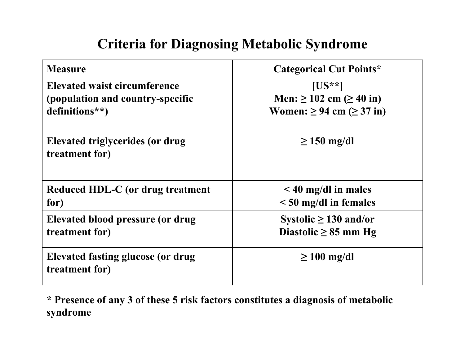# **Criteria for Diagnosing Metabolic Syndrome**

| <b>Measure</b>                                             | <b>Categorical Cut Points*</b>      |
|------------------------------------------------------------|-------------------------------------|
| <b>Elevated waist circumference</b>                        | $[US**]$                            |
| (population and country-specific                           | Men: $\geq 102$ cm ( $\geq 40$ in)  |
| definitions**)                                             | Women: $\geq 94$ cm ( $\geq 37$ in) |
| Elevated triglycerides (or drug<br>treatment for)          | $\geq 150$ mg/dl                    |
| Reduced HDL-C (or drug treatment                           | $\leq$ 40 mg/dl in males            |
| for)                                                       | $\le$ 50 mg/dl in females           |
| Elevated blood pressure (or drug                           | Systolic $\geq 130$ and/or          |
| treatment for)                                             | Diastolic $\geq 85$ mm Hg           |
| <b>Elevated fasting glucose (or drug</b><br>treatment for) | $\geq 100$ mg/dl                    |

**\* Presence of any 3 of these 5 risk factors constitutes a diagnosis of metabolic syndrome**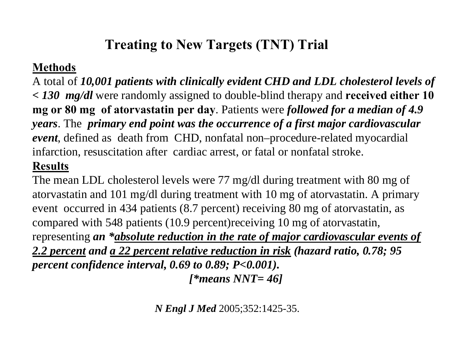# **Treating to New Targets (TNT) Trial**

#### **Methods**

A total of *10,001 patients with clinically evident CHD and LDL cholesterol levels of < 130 mg/dl* were randomly assigned to double-blind therapy and **received either 10 mg or 80 mg of atorvastatin per day**. Patients were *followed for a median of 4.9 years*. The *primary end point was the occurrence of a first major cardiovascular event*, defined as death from CHD, nonfatal non–procedure-related myocardial infarction, resuscitation after cardiac arrest, or fatal or nonfatal stroke. **Results**

The mean LDL cholesterol levels were 77 mg/dl during treatment with 80 mg of atorvastatin and 101 mg/dl during treatment with 10 mg of atorvastatin. A primary event occurred in 434 patients (8.7 percent) receiving 80 mg of atorvastatin, as compared with 548 patients (10.9 percent)receiving 10 mg of atorvastatin, representing *an \*absolute reduction in the rate of major cardiovascular events of 2.2 percent and a 22 percent relative reduction in risk (hazard ratio, 0.78; 95 percent confidence interval, 0.69 to 0.89; P<0.001). [\*means NNT= 46]*

*N Engl J Med* 2005;352:1425-35.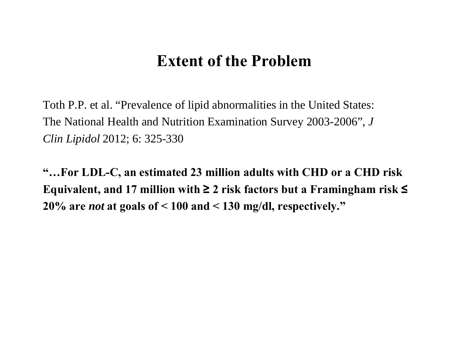# **Extent of the Problem**

Toth P.P. et al. "Prevalence of lipid abnormalities in the United States: The National Health and Nutrition Examination Survey 2003-2006", *J Clin Lipidol* 2012; 6: 325-330

**"…For LDL-C, an estimated 23 million adults with CHD or a CHD risk Equivalent, and 17 million with ≥ 2 risk factors but a Framingham risk ≤ 20% are** *not* **at goals of < 100 and < 130 mg/dl, respectively."**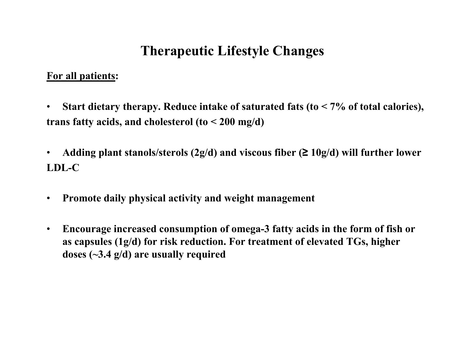### **Therapeutic Lifestyle Changes**

#### **For all patients:**

- • **Start dietary therapy. Reduce intake of saturated fats (to < 7% of total calories), trans fatty acids, and cholesterol (to < 200 mg/d)**
- $\bullet$  **Adding plant stanols/sterols (2g/d) and viscous fiber ( ≥ 10g/d) will further lower LDL-C**
- $\bullet$ **Promote daily physical activity and weight management**
- $\bullet$  **Encourage increased consumption of omega-3 fatty acids in the form of fish or as capsules (1g/d) for risk reduction. For treatment of elevated TGs, higher doses (~3.4 g/d) are usually required**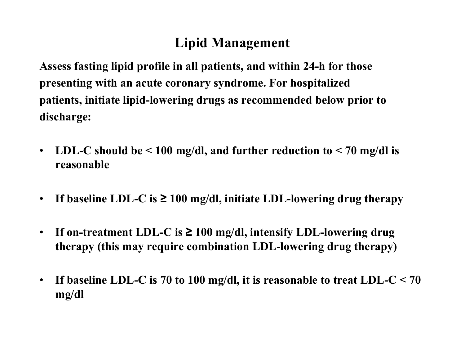### **Lipid Management**

**Assess fasting lipid profile in all patients, and within 24-h for those presenting with an acute coronary syndrome. For hospitalized patients, initiate lipid-lowering drugs as recommended below prior to discharge:**

- $\bullet$  **LDL-C should be < 100 mg/dl, and further reduction to < 70 mg/dl is reasonable**
- $\bullet$ **If baseline LDL-C is ≥ 100 mg/dl, initiate LDL-lowering drug therapy**
- • **If on-treatment LDL-C is ≥ 100 mg/dl, intensify LDL-lowering drug therapy (this may require combination LDL-lowering drug therapy)**
- • **If baseline LDL-C is 70 to 100 mg/dl, it is reasonable to treat LDL-C < 70 mg/dl**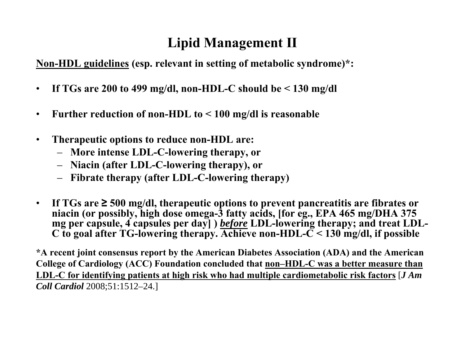# **Lipid Management II**

**Non-HDL guidelines (esp. relevant in setting of metabolic syndrome)\*:**

- $\bullet$ **If TGs are 200 to 499 mg/dl, non-HDL-C should be < 130 mg/dl**
- $\bullet$ **Further reduction of non-HDL to < 100 mg/dl is reasonable**
- $\bullet$  **Therapeutic options to reduce non-HDL are:**
	- **More intense LDL-C-lowering therapy, or**
	- **Niacin (after LDL-C-lowering therapy), or**
	- **Fibrate therapy (after LDL-C-lowering therapy)**
- $\bullet$  **If TGs are ≥ 500 mg/dl, therapeutic options to prevent pancreatitis are fibrates or niacin (or possibly, high dose omega-3 fatty acids, [for eg., EPA 465 mg/DHA 375 mg per capsule, 4 capsules per day] )** *before* **LDL-lowering therapy; and treat LDL-C to goal after TG-lowering therapy. Achieve non-HDL-C < 130 mg/dl, if possible**

**\*A recent joint consensus report by the American Diabetes Association (ADA) and the American College of Cardiology (ACC) Foundation concluded that non–HDL-C was a better measure than LDL-C for identifying patients at high risk who had multiple cardiometabolic risk factors** [*J Am Coll Cardiol* 2008;51:1512–24.]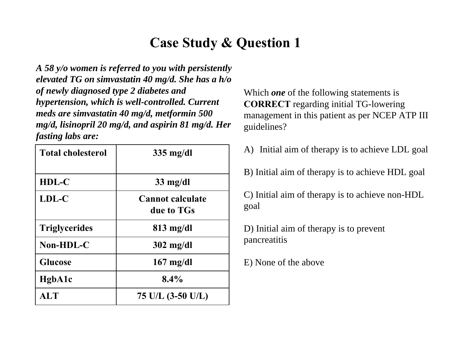#### **Case Study & Question 1**

*A 58 y/o women is referred to you with persistently elevated TG on simvastatin 40 mg/d. She has a h/o of newly diagnosed type 2 diabetes and hypertension, which is well-controlled. Current meds are simvastatin 40 mg/d, metformin 500 mg/d, lisinopril 20 mg/d, and aspirin 81 mg/d. Her fasting labs are:*

| <b>Total cholesterol</b> | $335 \text{ mg/dl}$                   |  |
|--------------------------|---------------------------------------|--|
|                          |                                       |  |
| HDL-C                    | $33 \text{ mg/dl}$                    |  |
| LDL-C                    | <b>Cannot calculate</b><br>due to TGs |  |
| <b>Triglycerides</b>     | $813$ mg/dl                           |  |
| Non-HDL-C                | $302 \text{ mg/dl}$                   |  |
| <b>Glucose</b>           | $167 \text{ mg/dl}$                   |  |
| HgbA1c                   | 8.4%                                  |  |
| <b>ALT</b>               | 75 U/L (3-50 U/L)                     |  |

Which *one* of the following statements is **CORRECT** regarding initial TG-lowering management in this patient as per NCEP ATP III guidelines?

- A) Initial aim of therapy is to achieve LDL goal
- B) Initial aim of therapy is to achieve HDL goal

C) Initial aim of therapy is to achieve non-HDL goal

D) Initial aim of therapy is to prevent pancreatitis

E) None of the above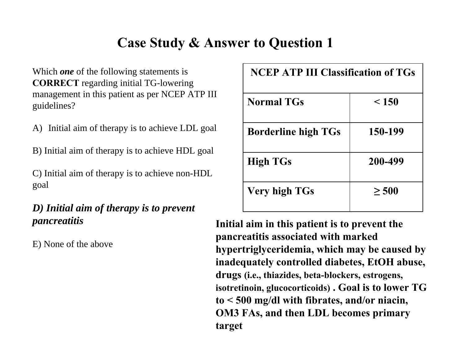#### **Case Study & Answer to Question 1**

Which *one* of the following statements is **CORRECT** regarding initial TG-lowering management in this patient as per NCEP ATP III guidelines?

- A) Initial aim of therapy is to achieve LDL goal
- B) Initial aim of therapy is to achieve HDL goal
- C) Initial aim of therapy is to achieve non-HDL goal

#### *D) Initial aim of therapy is to prevent pancreatitis*

E) None of the above

| <b>NCEP ATP III Classification of TGs</b> |            |  |  |
|-------------------------------------------|------------|--|--|
| <b>Normal TGs</b>                         | < 150      |  |  |
| <b>Borderline high TGs</b>                | 150-199    |  |  |
| <b>High TGs</b>                           | 200-499    |  |  |
| Very high TGs                             | $\geq 500$ |  |  |

**Initial aim in this patient is to prevent the pancreatitis associated with marked hypertriglyceridemia, which may be caused by inadequately controlled diabetes, EtOH abuse, drugs (i.e., thiazides, beta-blockers, estrogens, isotretinoin, glucocorticoids) . Goal is to lower TG to < 500 mg/dl with fibrates, and/or niacin, OM3 FAs, and then LDL becomes primary target**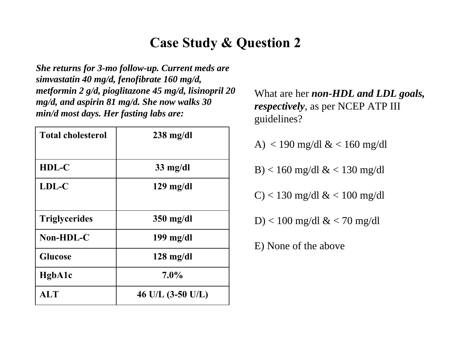#### **Case Study & Question 2**

*She returns for 3-mo follow-up. Current meds are simvastatin 40 mg/d, fenofibrate 160 mg/d, metformin 2 g/d, pioglitazone 45 mg/d, lisinopril 20 mg/d, and aspirin 81 mg/d. She now walks 30 min/d most days. Her fasting labs are:*

| <b>Total cholesterol</b> | $238 \text{ mg/dl}$         |  |  |
|--------------------------|-----------------------------|--|--|
|                          |                             |  |  |
| HDL-C                    | $33 \text{ mg/dl}$          |  |  |
| LDL-C                    | $129$ mg/dl                 |  |  |
|                          |                             |  |  |
| <b>Triglycerides</b>     | $350$ mg/dl                 |  |  |
| Non-HDL-C                | $199$ mg/dl                 |  |  |
| <b>Glucose</b>           | $128 \text{ mg/dl}$         |  |  |
| HgbA1c                   | 7.0%                        |  |  |
| <b>ALT</b>               | 46 U/L $(3-50 \text{ U/L})$ |  |  |

What are her *non-HDL and LDL goals, respectively*, as per NCEP ATP III guidelines?

A) < 190 mg/dl  $\&$  < 160 mg/dl

B) < 160 mg/dl  $\&$  < 130 mg/dl

C) < 130 mg/dl  $\&$  < 100 mg/dl

D) < 100 mg/dl & < 70 mg/dl

E) None of the above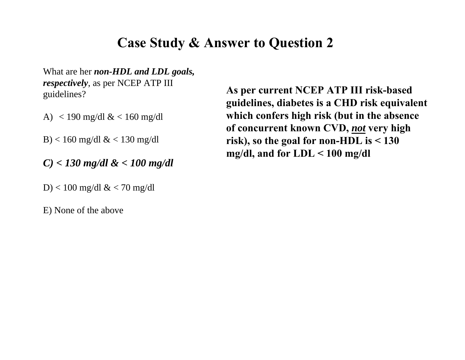#### **Case Study & Answer to Question 2**

What are her *non-HDL and LDL goals, respectively*, as per NCEP ATP III guidelines?

A)  $<$  190 mg/dl &  $<$  160 mg/dl

B) < 160 mg/dl  $< 130$  mg/dl

*C) < 130 mg/dl & < 100 mg/dl*

D) < 100 mg/dl  $< 70$  mg/dl

E) None of the above

**As per current NCEP ATP III risk-based guidelines, diabetes is a CHD risk equivalent which confers high risk (but in the absence of concurrent known CVD,** *not* **very high risk), so the goal for non-HDL is < 130 mg/dl, and for LDL < 100 mg/dl**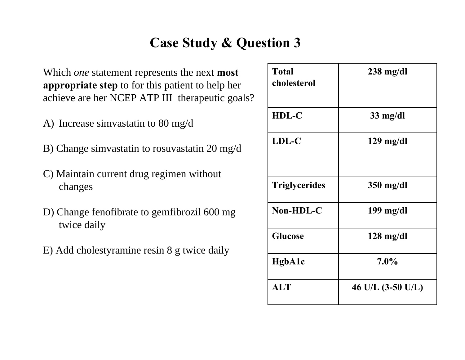## **Case Study & Question 3**

Which *one* statement represents the next **most appropriate step** to for this patient to help her achieve are her NCEP ATP III therapeutic goals?

- A) Increase simvastatin to 80 mg/d
- B) Change simvastatin to rosuvastatin 20 mg/d
- C) Maintain current drug regimen without changes
- D) Change fenofibrate to gemfibrozil 600 mg twice daily
- E) Add cholestyramine resin 8 g twice daily

| <b>Total</b><br>cholesterol | $238$ mg/dl                 |
|-----------------------------|-----------------------------|
| HDL-C                       | $33 \text{ mg/dl}$          |
| LDL-C                       | $129 \text{ mg/dl}$         |
| <b>Triglycerides</b>        | $350$ mg/dl                 |
| Non-HDL-C                   | $199$ mg/dl                 |
| <b>Glucose</b>              | $128 \text{ mg/dl}$         |
| HgbA1c                      | $7.0\%$                     |
| <b>ALT</b>                  | 46 U/L $(3-50 \text{ U/L})$ |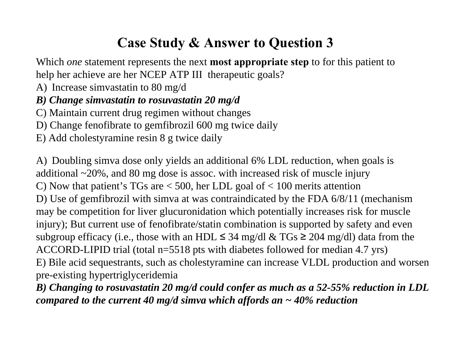# **Case Study & Answer to Question 3**

Which *one* statement represents the next **most appropriate step** to for this patient to help her achieve are her NCEP ATP III therapeutic goals?

A) Increase simvastatin to 80 mg/d

#### *B) Change simvastatin to rosuvastatin 20 mg/d*

- C) Maintain current drug regimen without changes
- D) Change fenofibrate to gemfibrozil 600 mg twice daily
- E) Add cholestyramine resin 8 g twice daily

A) Doubling simva dose only yields an additional 6% LDL reduction, when goals is additional ~20%, and 80 mg dose is assoc. with increased risk of muscle injury C) Now that patient's TGs are < 500, her LDL goal of < 100 merits attention D) Use of gemfibrozil with simva at was contraindicated by the FDA 6/8/11 (mechanism may be competition for liver glucuronidation which potentially increases risk for muscle injury); But current use of fenofibrate/statin combination is supported by safety and even subgroup efficacy (i.e., those with an HDL  $\leq 34$  mg/dl & TGs  $\geq 204$  mg/dl) data from the ACCORD-LIPID trial (total n=5518 pts with diabetes followed for median 4.7 yrs) E) Bile acid sequestrants, such as cholestyramine can increase VLDL production and worsen pre-existing hypertriglyceridemia

*B) Changing to rosuvastatin 20 mg/d could confer as much as a 52-55% reduction in LDL compared to the current 40 mg/d simva which affords an ~ 40% reduction*